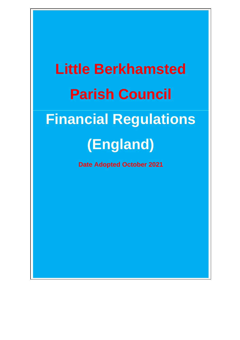# **Little Berkhamsted Parish Council Financial Regulations (England)**

**Date Adopted October 2021**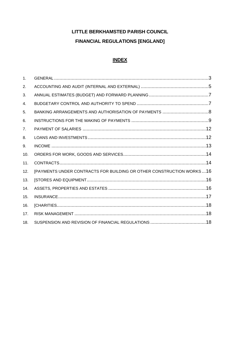# LITTLE BERKHAMSTED PARISH COUNCIL **FINANCIAL REGULATIONS [ENGLAND]**

# **INDEX**

| $\mathbf{1}$ . |                                                                      |  |
|----------------|----------------------------------------------------------------------|--|
| 2.             |                                                                      |  |
| 3.             |                                                                      |  |
| 4.             |                                                                      |  |
| 5.             |                                                                      |  |
| 6.             |                                                                      |  |
| 7 <sub>1</sub> |                                                                      |  |
| 8.             |                                                                      |  |
| 9.             |                                                                      |  |
| 10.            |                                                                      |  |
| 11.            |                                                                      |  |
| 12.            | [PAYMENTS UNDER CONTRACTS FOR BUILDING OR OTHER CONSTRUCTION WORKS16 |  |
| 13.            |                                                                      |  |
| 14.            |                                                                      |  |
| 15.            |                                                                      |  |
| 16.            |                                                                      |  |
| 17.            |                                                                      |  |
| 18.            |                                                                      |  |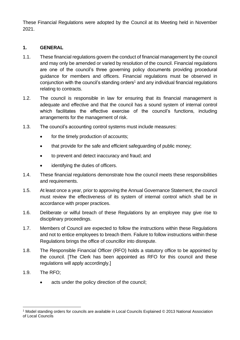These Financial Regulations were adopted by the Council at its Meeting held in November 2021.

#### <span id="page-2-0"></span>**1. GENERAL**

- 1.1. These financial regulations govern the conduct of financial management by the council and may only be amended or varied by resolution of the council. Financial regulations are one of the council's three governing policy documents providing procedural guidance for members and officers. Financial regulations must be observed in conjunction with the council's standing orders<sup>1</sup> and any individual financial regulations relating to contracts.
- 1.2. The council is responsible in law for ensuring that its financial management is adequate and effective and that the council has a sound system of internal control which facilitates the effective exercise of the council's functions, including arrangements for the management of risk.
- 1.3. The council's accounting control systems must include measures:
	- for the timely production of accounts;
	- that provide for the safe and efficient safeguarding of public money;
	- to prevent and detect inaccuracy and fraud; and
	- identifying the duties of officers.
- 1.4. These financial regulations demonstrate how the council meets these responsibilities and requirements.
- 1.5. At least once a year, prior to approving the Annual Governance Statement, the council must review the effectiveness of its system of internal control which shall be in accordance with proper practices.
- 1.6. Deliberate or wilful breach of these Regulations by an employee may give rise to disciplinary proceedings.
- 1.7. Members of Council are expected to follow the instructions within these Regulations and not to entice employees to breach them. Failure to follow instructions within these Regulations brings the office of councillor into disrepute.
- 1.8. The Responsible Financial Officer (RFO) holds a statutory office to be appointed by the council. [The Clerk has been appointed as RFO for this council and these regulations will apply accordingly.]
- 1.9. The RFO;
	- acts under the policy direction of the council;

<sup>1</sup> Model standing orders for councils are available in Local Councils Explained © 2013 National Association of Local Councils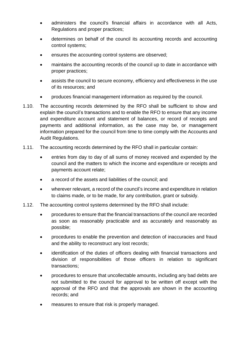- administers the council's financial affairs in accordance with all Acts, Regulations and proper practices;
- determines on behalf of the council its accounting records and accounting control systems;
- ensures the accounting control systems are observed;
- maintains the accounting records of the council up to date in accordance with proper practices;
- assists the council to secure economy, efficiency and effectiveness in the use of its resources; and
- produces financial management information as required by the council.
- 1.10. The accounting records determined by the RFO shall be sufficient to show and explain the council's transactions and to enable the RFO to ensure that any income and expenditure account and statement of balances, or record of receipts and payments and additional information, as the case may be, or management information prepared for the council from time to time comply with the Accounts and Audit Regulations.
- 1.11. The accounting records determined by the RFO shall in particular contain:
	- entries from day to day of all sums of money received and expended by the council and the matters to which the income and expenditure or receipts and payments account relate;
	- a record of the assets and liabilities of the council; and
	- wherever relevant, a record of the council's income and expenditure in relation to claims made, or to be made, for any contribution, grant or subsidy.
- 1.12. The accounting control systems determined by the RFO shall include:
	- procedures to ensure that the financial transactions of the council are recorded as soon as reasonably practicable and as accurately and reasonably as possible;
	- procedures to enable the prevention and detection of inaccuracies and fraud and the ability to reconstruct any lost records;
	- identification of the duties of officers dealing with financial transactions and division of responsibilities of those officers in relation to significant transactions;
	- procedures to ensure that uncollectable amounts, including any bad debts are not submitted to the council for approval to be written off except with the approval of the RFO and that the approvals are shown in the accounting records; and
	- measures to ensure that risk is properly managed.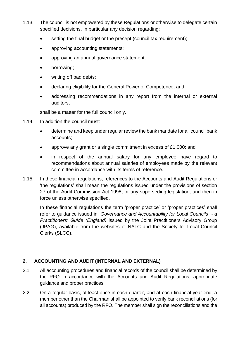- 1.13. The council is not empowered by these Regulations or otherwise to delegate certain specified decisions. In particular any decision regarding:
	- setting the final budget or the precept (council tax requirement);
	- approving accounting statements;
	- approving an annual governance statement;
	- borrowing;
	- writing off bad debts;
	- declaring eligibility for the General Power of Competence; and
	- addressing recommendations in any report from the internal or external auditors,

shall be a matter for the full council only.

- 1.14. In addition the council must:
	- determine and keep under regular review the bank mandate for all council bank accounts;
	- approve any grant or a single commitment in excess of £1,000; and
	- in respect of the annual salary for any employee have regard to recommendations about annual salaries of employees made by the relevant committee in accordance with its terms of reference.
- 1.15. In these financial regulations, references to the Accounts and Audit Regulations or 'the regulations' shall mean the regulations issued under the provisions of section 27 of the Audit Commission Act 1998, or any superseding legislation, and then in force unless otherwise specified.

In these financial regulations the term 'proper practice' or 'proper practices' shall refer to guidance issued in *Governance and Accountability for Local Councils - a Practitioners' Guide (England)* issued by the Joint Practitioners Advisory Group (JPAG), available from the websites of NALC and the Society for Local Council Clerks (SLCC).

# <span id="page-4-0"></span>**2. ACCOUNTING AND AUDIT (INTERNAL AND EXTERNAL)**

- 2.1. All accounting procedures and financial records of the council shall be determined by the RFO in accordance with the Accounts and Audit Regulations, appropriate guidance and proper practices.
- 2.2. On a regular basis, at least once in each quarter, and at each financial year end, a member other than the Chairman shall be appointed to verify bank reconciliations (for all accounts) produced by the RFO. The member shall sign the reconciliations and the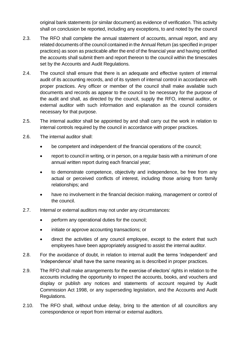original bank statements (or similar document) as evidence of verification. This activity shall on conclusion be reported, including any exceptions, to and noted by the council

- 2.3. The RFO shall complete the annual statement of accounts, annual report, and any related documents of the council contained in the Annual Return (as specified in proper practices) as soon as practicable after the end of the financial year and having certified the accounts shall submit them and report thereon to the council within the timescales set by the Accounts and Audit Regulations.
- 2.4. The council shall ensure that there is an adequate and effective system of internal audit of its accounting records, and of its system of internal control in accordance with proper practices. Any officer or member of the council shall make available such documents and records as appear to the council to be necessary for the purpose of the audit and shall, as directed by the council, supply the RFO, internal auditor, or external auditor with such information and explanation as the council considers necessary for that purpose.
- 2.5. The internal auditor shall be appointed by and shall carry out the work in relation to internal controls required by the council in accordance with proper practices.
- 2.6. The internal auditor shall:
	- be competent and independent of the financial operations of the council;
	- report to council in writing, or in person, on a regular basis with a minimum of one annual written report during each financial year;
	- to demonstrate competence, objectivity and independence, be free from any actual or perceived conflicts of interest, including those arising from family relationships; and
	- have no involvement in the financial decision making, management or control of the council.
- 2.7. Internal or external auditors may not under any circumstances:
	- perform any operational duties for the council;
	- initiate or approve accounting transactions; or
	- direct the activities of any council employee, except to the extent that such employees have been appropriately assigned to assist the internal auditor.
- 2.8. For the avoidance of doubt, in relation to internal audit the terms 'independent' and 'independence' shall have the same meaning as is described in proper practices.
- 2.9. The RFO shall make arrangements for the exercise of electors' rights in relation to the accounts including the opportunity to inspect the accounts, books, and vouchers and display or publish any notices and statements of account required by Audit Commission Act 1998, or any superseding legislation, and the Accounts and Audit Regulations.
- 2.10. The RFO shall, without undue delay, bring to the attention of all councillors any correspondence or report from internal or external auditors.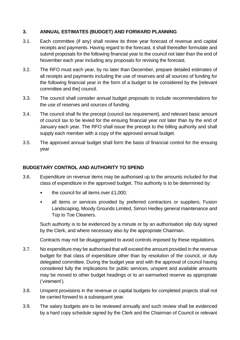#### <span id="page-6-0"></span>**3. ANNUAL ESTIMATES (BUDGET) AND FORWARD PLANNING**

- 3.1. Each committee (if any) shall review its three year forecast of revenue and capital receipts and payments. Having regard to the forecast, it shall thereafter formulate and submit proposals for the following financial year to the council not later than the end of November each year including any proposals for revising the forecast.
- 3.2. The RFO must each year, by no later than December, prepare detailed estimates of all receipts and payments including the use of reserves and all sources of funding for the following financial year in the form of a budget to be considered by the [relevant committee and the] council.
- 3.3. The council shall consider annual budget proposals to include recommendations for the use of reserves and sources of funding.
- 3.4. The council shall fix the precept (council tax requirement), and relevant basic amount of council tax to be levied for the ensuing financial year not later than by the end of January each year. The RFO shall issue the precept to the billing authority and shall supply each member with a copy of the approved annual budget.
- 3.5. The approved annual budget shall form the basis of financial control for the ensuing year.

#### <span id="page-6-1"></span>**BUDGETARY CONTROL AND AUTHORITY TO SPEND**

- 3.6. Expenditure on revenue items may be authorised up to the amounts included for that class of expenditure in the approved budget. This authority is to be determined by:
	- the council for all items over £1,000;
	- all items or services provided by preferred contractors or suppliers; Fusion Landscaping, Moody Grounds Limited, Simon Hedley general maintenance and Top to Toe Cleaners.

Such authority is to be evidenced by a minute or by an authorisation slip duly signed by the Clerk, and where necessary also by the appropriate Chairman.

Contracts may not be disaggregated to avoid controls imposed by these regulations.

- 3.7. No expenditure may be authorised that will exceed the amount provided in the revenue budget for that class of expenditure other than by resolution of the council, or duly delegated committee. During the budget year and with the approval of council having considered fully the implications for public services, unspent and available amounts may be moved to other budget headings or to an earmarked reserve as appropriate ('virement').
- 3.8. Unspent provisions in the revenue or capital budgets for completed projects shall not be carried forward to a subsequent year.
- 3.9. The salary budgets are to be reviewed annually and such review shall be evidenced by a hard copy schedule signed by the Clerk and the Chairman of Council or relevant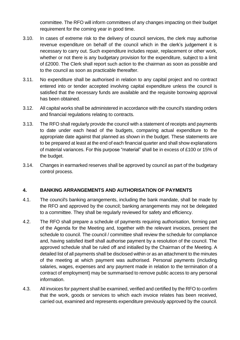committee. The RFO will inform committees of any changes impacting on their budget requirement for the coming year in good time.

- 3.10. In cases of extreme risk to the delivery of council services, the clerk may authorise revenue expenditure on behalf of the council which in the clerk's judgement it is necessary to carry out. Such expenditure includes repair, replacement or other work, whether or not there is any budgetary provision for the expenditure, subject to a limit of £2000. The Clerk shall report such action to the chairman as soon as possible and to the council as soon as practicable thereafter.
- 3.11. No expenditure shall be authorised in relation to any capital project and no contract entered into or tender accepted involving capital expenditure unless the council is satisfied that the necessary funds are available and the requisite borrowing approval has been obtained.
- 3.12. All capital works shall be administered in accordance with the council's standing orders and financial regulations relating to contracts.
- 3.13. The RFO shall regularly provide the council with a statement of receipts and payments to date under each head of the budgets, comparing actual expenditure to the appropriate date against that planned as shown in the budget. These statements are to be prepared at least at the end of each financial quarter and shall show explanations of material variances. For this purpose "material" shall be in excess of £100 or 15% of the budget.
- 3.14. Changes in earmarked reserves shall be approved by council as part of the budgetary control process.

# <span id="page-7-0"></span>**4. BANKING ARRANGEMENTS AND AUTHORISATION OF PAYMENTS**

- 4.1. The council's banking arrangements, including the bank mandate, shall be made by the RFO and approved by the council; banking arrangements may not be delegated to a committee. They shall be regularly reviewed for safety and efficiency.
- 4.2. The RFO shall prepare a schedule of payments requiring authorisation, forming part of the Agenda for the Meeting and, together with the relevant invoices, present the schedule to council. The council / committee shall review the schedule for compliance and, having satisfied itself shall authorise payment by a resolution of the council. The approved schedule shall be ruled off and initialled by the Chairman of the Meeting. A detailed list of all payments shall be disclosed within or as an attachment to the minutes of the meeting at which payment was authorised. Personal payments (including salaries, wages, expenses and any payment made in relation to the termination of a contract of employment) may be summarised to remove public access to any personal information.
- 4.3. All invoices for payment shall be examined, verified and certified by the RFO to confirm that the work, goods or services to which each invoice relates has been received, carried out, examined and represents expenditure previously approved by the council.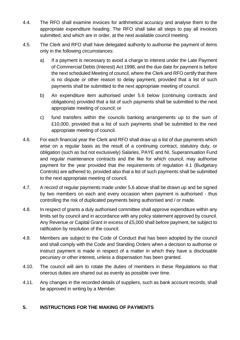- 4.4. The RFO shall examine invoices for arithmetical accuracy and analyse them to the appropriate expenditure heading. The RFO shall take all steps to pay all invoices submitted, and which are in order, at the next available council meeting.
- 4.5. The Clerk and RFO shall have delegated authority to authorise the payment of items only in the following circumstances:
	- a) If a payment is necessary to avoid a charge to interest under the Late Payment of Commercial Debts (Interest) Act 1998, and the due date for payment is before the next scheduled Meeting of council, where the Clerk and RFO certify that there is no dispute or other reason to delay payment, provided that a list of such payments shall be submitted to the next appropriate meeting of council.
	- b) An expenditure item authorised under 5.6 below (continuing contracts and obligations) provided that a list of such payments shall be submitted to the next appropriate meeting of council; or
	- c) fund transfers within the councils banking arrangements up to the sum of £10,000, provided that a list of such payments shall be submitted to the next appropriate meeting of council.
- 4.6. For each financial year the Clerk and RFO shall draw up a list of due payments which arise on a regular basis as the result of a continuing contract, statutory duty, or obligation (such as but not exclusively) Salaries, PAYE and NI, Superannuation Fund and regular maintenance contracts and the like for which council, may authorise payment for the year provided that the requirements of regulation 4.1 (Budgetary Controls) are adhered to, provided also that a list of such payments shall be submitted to the next appropriate meeting of council.
- 4.7. A record of regular payments made under 5.6 above shall be drawn up and be signed by two members on each and every occasion when payment is authorised - thus controlling the risk of duplicated payments being authorised and / or made.
- 4.8. In respect of grants a duly authorised committee shall approve expenditure within any limits set by council and in accordance with any policy statement approved by council. Any Revenue or Capital Grant in excess of £5,000 shall before payment, be subject to ratification by resolution of the council.
- 4.9. Members are subject to the Code of Conduct that has been adopted by the council and shall comply with the Code and Standing Orders when a decision to authorise or instruct payment is made in respect of a matter in which they have a disclosable pecuniary or other interest, unless a dispensation has been granted.
- 4.10. The council will aim to rotate the duties of members in these Regulations so that onerous duties are shared out as evenly as possible over time.
- 4.11. Any changes in the recorded details of suppliers, such as bank account records, shall be approved in writing by a Member.

# <span id="page-8-0"></span>**5. INSTRUCTIONS FOR THE MAKING OF PAYMENTS**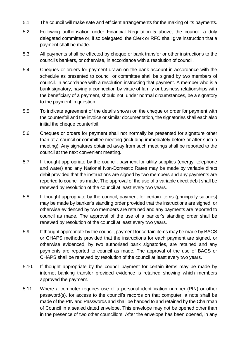- 5.1. The council will make safe and efficient arrangements for the making of its payments.
- 5.2. Following authorisation under Financial Regulation 5 above, the council, a duly delegated committee or, if so delegated, the Clerk or RFO shall give instruction that a payment shall be made.
- 5.3. All payments shall be effected by cheque or bank transfer or other instructions to the council's bankers, or otherwise, in accordance with a resolution of council.
- 5.4. Cheques or orders for payment drawn on the bank account in accordance with the schedule as presented to council or committee shall be signed by two members of council. In accordance with a resolution instructing that payment. A member who is a bank signatory, having a connection by virtue of family or business relationships with the beneficiary of a payment, should not, under normal circumstances, be a signatory to the payment in question.
- 5.5. To indicate agreement of the details shown on the cheque or order for payment with the counterfoil and the invoice or similar documentation, the signatories shall each also initial the cheque counterfoil.
- 5.6. Cheques or orders for payment shall not normally be presented for signature other than at a council or committee meeting (including immediately before or after such a meeting). Any signatures obtained away from such meetings shall be reported to the council at the next convenient meeting.
- 5.7. If thought appropriate by the council, payment for utility supplies (energy, telephone and water) and any National Non-Domestic Rates may be made by variable direct debit provided that the instructions are signed by two members and any payments are reported to council as made. The approval of the use of a variable direct debit shall be renewed by resolution of the council at least every two years.
- 5.8. If thought appropriate by the council, payment for certain items (principally salaries) may be made by banker's standing order provided that the instructions are signed, or otherwise evidenced by two members are retained and any payments are reported to council as made. The approval of the use of a banker's standing order shall be renewed by resolution of the council at least every two years.
- 5.9. If thought appropriate by the council, payment for certain items may be made by BACS or CHAPS methods provided that the instructions for each payment are signed, or otherwise evidenced, by two authorised bank signatories, are retained and any payments are reported to council as made. The approval of the use of BACS or CHAPS shall be renewed by resolution of the council at least every two years.
- 5.10. If thought appropriate by the council payment for certain items may be made by internet banking transfer provided evidence is retained showing which members approved the payment.
- 5.11. Where a computer requires use of a personal identification number (PIN) or other password(s), for access to the council's records on that computer, a note shall be made of the PIN and Passwords and shall be handed to and retained by the Chairman of Council in a sealed dated envelope. This envelope may not be opened other than in the presence of two other councillors. After the envelope has been opened, in any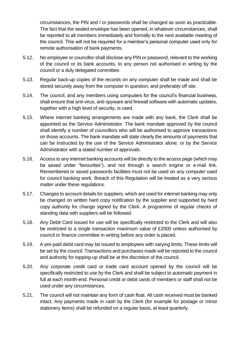circumstances, the PIN and / or passwords shall be changed as soon as practicable. The fact that the sealed envelope has been opened, in whatever circumstances, shall be reported to all members immediately and formally to the next available meeting of the council. This will not be required for a member's personal computer used only for remote authorisation of bank payments.

- 5.12. No employee or councillor shall disclose any PIN or password, relevant to the working of the council or its bank accounts, to any person not authorised in writing by the council or a duly delegated committee.
- 5.13. Regular back-up copies of the records on any computer shall be made and shall be stored securely away from the computer in question, and preferably off site.
- 5.14. The council, and any members using computers for the council's financial business, shall ensure that anti-virus, anti-spyware and firewall software with automatic updates, together with a high level of security, is used.
- 5.15. Where internet banking arrangements are made with any bank, the Clerk shall be appointed as the Service Administrator. The bank mandate approved by the council shall identify a number of councillors who will be authorised to approve transactions on those accounts. The bank mandate will state clearly the amounts of payments that can be instructed by the use of the Service Administrator alone, or by the Service Administrator with a stated number of approvals.
- 5.16. Access to any internet banking accounts will be directly to the access page (which may be saved under "favourites"), and not through a search engine or e-mail link. Remembered or saved passwords facilities must not be used on any computer used for council banking work. Breach of this Regulation will be treated as a very serious matter under these regulations.
- 5.17. Changes to account details for suppliers, which are used for internet banking may only be changed on written hard copy notification by the supplier and supported by hard copy authority for change signed by the Clerk. A programme of regular checks of standing data with suppliers will be followed.
- 5.18. Any Debit Card issued for use will be specifically restricted to the Clerk and will also be restricted to a single transaction maximum value of £2000 unless authorised by council or finance committee in writing before any order is placed.
- 5.19. A pre-paid debit card may be issued to employees with varying limits. These limits will be set by the council. Transactions and purchases made will be reported to the council and authority for topping-up shall be at the discretion of the council.
- 5.20. Any corporate credit card or trade card account opened by the council will be specifically restricted to use by the Clerk and shall be subject to automatic payment in full at each month-end. Personal credit or debit cards of members or staff shall not be used under any circumstances.
- 5.21. The council will not maintain any form of cash float. All cash received must be banked intact. Any payments made in cash by the Clerk (for example for postage or minor stationery items) shall be refunded on a regular basis, at least quarterly.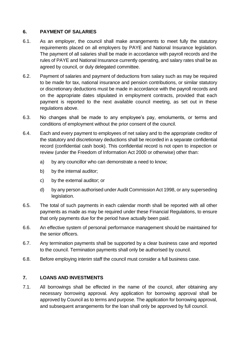#### <span id="page-11-0"></span>**6. PAYMENT OF SALARIES**

- 6.1. As an employer, the council shall make arrangements to meet fully the statutory requirements placed on all employers by PAYE and National Insurance legislation. The payment of all salaries shall be made in accordance with payroll records and the rules of PAYE and National Insurance currently operating, and salary rates shall be as agreed by council, or duly delegated committee.
- 6.2. Payment of salaries and payment of deductions from salary such as may be required to be made for tax, national insurance and pension contributions, or similar statutory or discretionary deductions must be made in accordance with the payroll records and on the appropriate dates stipulated in employment contracts, provided that each payment is reported to the next available council meeting, as set out in these regulations above.
- 6.3. No changes shall be made to any employee's pay, emoluments, or terms and conditions of employment without the prior consent of the council.
- 6.4. Each and every payment to employees of net salary and to the appropriate creditor of the statutory and discretionary deductions shall be recorded in a separate confidential record (confidential cash book). This confidential record is not open to inspection or review (under the Freedom of Information Act 2000 or otherwise) other than:
	- a) by any councillor who can demonstrate a need to know;
	- b) by the internal auditor;
	- c) by the external auditor; or
	- d) by any person authorised under Audit Commission Act 1998, or any superseding legislation.
- 6.5. The total of such payments in each calendar month shall be reported with all other payments as made as may be required under these Financial Regulations, to ensure that only payments due for the period have actually been paid.
- 6.6. An effective system of personal performance management should be maintained for the senior officers.
- 6.7. Any termination payments shall be supported by a clear business case and reported to the council. Termination payments shall only be authorised by council.
- 6.8. Before employing interim staff the council must consider a full business case.

#### <span id="page-11-1"></span>**7. LOANS AND INVESTMENTS**

7.1. All borrowings shall be effected in the name of the council, after obtaining any necessary borrowing approval. Any application for borrowing approval shall be approved by Council as to terms and purpose. The application for borrowing approval, and subsequent arrangements for the loan shall only be approved by full council.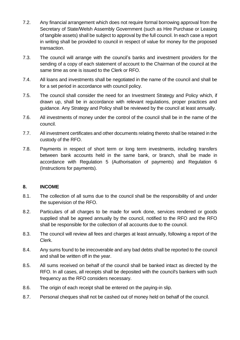- 7.2. Any financial arrangement which does not require formal borrowing approval from the Secretary of State/Welsh Assembly Government (such as Hire Purchase or Leasing of tangible assets) shall be subject to approval by the full council. In each case a report in writing shall be provided to council in respect of value for money for the proposed transaction.
- 7.3. The council will arrange with the council's banks and investment providers for the sending of a copy of each statement of account to the Chairman of the council at the same time as one is issued to the Clerk or RFO.
- 7.4. All loans and investments shall be negotiated in the name of the council and shall be for a set period in accordance with council policy.
- 7.5. The council shall consider the need for an Investment Strategy and Policy which, if drawn up, shall be in accordance with relevant regulations, proper practices and guidance. Any Strategy and Policy shall be reviewed by the council at least annually.
- 7.6. All investments of money under the control of the council shall be in the name of the council.
- 7.7. All investment certificates and other documents relating thereto shall be retained in the custody of the RFO.
- 7.8. Payments in respect of short term or long term investments, including transfers between bank accounts held in the same bank, or branch, shall be made in accordance with Regulation 5 (Authorisation of payments) and Regulation 6 (Instructions for payments).

#### <span id="page-12-0"></span>**8. INCOME**

- 8.1. The collection of all sums due to the council shall be the responsibility of and under the supervision of the RFO.
- 8.2. Particulars of all charges to be made for work done, services rendered or goods supplied shall be agreed annually by the council, notified to the RFO and the RFO shall be responsible for the collection of all accounts due to the council.
- 8.3. The council will review all fees and charges at least annually, following a report of the Clerk.
- 8.4. Any sums found to be irrecoverable and any bad debts shall be reported to the council and shall be written off in the year.
- 8.5. All sums received on behalf of the council shall be banked intact as directed by the RFO. In all cases, all receipts shall be deposited with the council's bankers with such frequency as the RFO considers necessary.
- 8.6. The origin of each receipt shall be entered on the paying-in slip.
- 8.7. Personal cheques shall not be cashed out of money held on behalf of the council.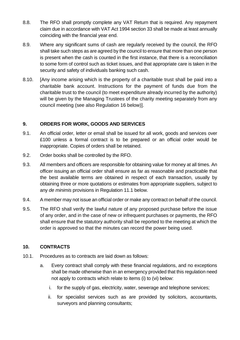- 8.8. The RFO shall promptly complete any VAT Return that is required. Any repayment claim due in accordance with VAT Act 1994 section 33 shall be made at least annually coinciding with the financial year end.
- 8.9. Where any significant sums of cash are regularly received by the council, the RFO shall take such steps as are agreed by the council to ensure that more than one person is present when the cash is counted in the first instance, that there is a reconciliation to some form of control such as ticket issues, and that appropriate care is taken in the security and safety of individuals banking such cash.
- 8.10. [Any income arising which is the property of a charitable trust shall be paid into a charitable bank account. Instructions for the payment of funds due from the charitable trust to the council (to meet expenditure already incurred by the authority) will be given by the Managing Trustees of the charity meeting separately from any council meeting (see also Regulation 16 below)].

#### <span id="page-13-0"></span>**9. ORDERS FOR WORK, GOODS AND SERVICES**

- 9.1. An official order, letter or email shall be issued for all work, goods and services over £100 unless a formal contract is to be prepared or an official order would be inappropriate. Copies of orders shall be retained.
- 9.2. Order books shall be controlled by the RFO.
- 9.3. All members and officers are responsible for obtaining value for money at all times. An officer issuing an official order shall ensure as far as reasonable and practicable that the best available terms are obtained in respect of each transaction, usually by obtaining three or more quotations or estimates from appropriate suppliers, subject to any *de minimis* provisions in Regulation 11.1 below.
- 9.4. A member may not issue an official order or make any contract on behalf of the council.
- 9.5. The RFO shall verify the lawful nature of any proposed purchase before the issue of any order, and in the case of new or infrequent purchases or payments, the RFO shall ensure that the statutory authority shall be reported to the meeting at which the order is approved so that the minutes can record the power being used.

#### <span id="page-13-1"></span>**10. CONTRACTS**

- 10.1. Procedures as to contracts are laid down as follows:
	- a. Every contract shall comply with these financial regulations, and no exceptions shall be made otherwise than in an emergency provided that this regulation need not apply to contracts which relate to items (i) to (vi) below:
		- i. for the supply of gas, electricity, water, sewerage and telephone services;
		- ii. for specialist services such as are provided by solicitors, accountants, surveyors and planning consultants;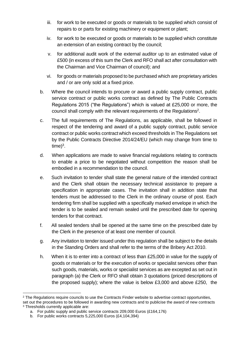- iii. for work to be executed or goods or materials to be supplied which consist of repairs to or parts for existing machinery or equipment or plant;
- iv. for work to be executed or goods or materials to be supplied which constitute an extension of an existing contract by the council;
- v. for additional audit work of the external auditor up to an estimated value of £500 (in excess of this sum the Clerk and RFO shall act after consultation with the Chairman and Vice Chairman of council); and
- vi. for goods or materials proposed to be purchased which are proprietary articles and / or are only sold at a fixed price.
- b. Where the council intends to procure or award a public supply contract, public service contract or public works contract as defined by The Public Contracts Regulations 2015 ("the Regulations") which is valued at £25,000 or more, the council shall comply with the relevant requirements of the Regulations<sup>2</sup>.
- c. The full requirements of The Regulations, as applicable, shall be followed in respect of the tendering and award of a public supply contract, public service contract or public works contractwhich exceed thresholds in The Regulations set by the Public Contracts Directive 2014/24/EU (which may change from time to  $time)^3$ .
- d. When applications are made to waive financial regulations relating to contracts to enable a price to be negotiated without competition the reason shall be embodied in a recommendation to the council.
- e. Such invitation to tender shall state the general nature of the intended contract and the Clerk shall obtain the necessary technical assistance to prepare a specification in appropriate cases. The invitation shall in addition state that tenders must be addressed to the Clerk in the ordinary course of post. Each tendering firm shall be supplied with a specifically marked envelope in which the tender is to be sealed and remain sealed until the prescribed date for opening tenders for that contract.
- f. All sealed tenders shall be opened at the same time on the prescribed date by the Clerk in the presence of at least one member of council.
- g. Any invitation to tender issued under this regulation shall be subject to the details in the Standing Orders and shall refer to the terms of the Bribery Act 2010.
- h. When it is to enter into a contract of less than £25,000 in value for the supply of goods or materials or for the execution of works or specialist services other than such goods, materials, works or specialist services as are excepted as set out in paragraph (a) the Clerk or RFO shall obtain 3 quotations (priced descriptions of the proposed supply); where the value is below £3,000 and above £250, the

<sup>&</sup>lt;sup>2</sup> The Regulations require councils to use the Contracts Finder website to advertise contract opportunities, set out the procedures to be followed in awarding new contracts and to publicise the award of new contracts <sup>3</sup> Thresholds currently applicable are:

a. For public supply and public service contracts 209,000 Euros (£164,176)

b. For public works contracts 5,225,000 Euros (£4,104,394)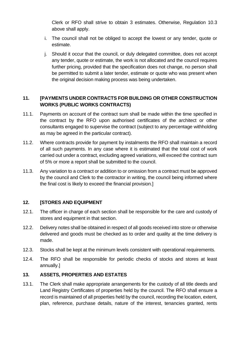Clerk or RFO shall strive to obtain 3 estimates. Otherwise, Regulation 10.3 above shall apply.

- i. The council shall not be obliged to accept the lowest or any tender, quote or estimate.
- j. Should it occur that the council, or duly delegated committee, does not accept any tender, quote or estimate, the work is not allocated and the council requires further pricing, provided that the specification does not change, no person shall be permitted to submit a later tender, estimate or quote who was present when the original decision making process was being undertaken.

# <span id="page-15-0"></span>**11. [PAYMENTS UNDER CONTRACTS FOR BUILDING OR OTHER CONSTRUCTION WORKS (PUBLIC WORKS CONTRACTS)**

- 11.1. Payments on account of the contract sum shall be made within the time specified in the contract by the RFO upon authorised certificates of the architect or other consultants engaged to supervise the contract (subject to any percentage withholding as may be agreed in the particular contract).
- 11.2. Where contracts provide for payment by instalments the RFO shall maintain a record of all such payments. In any case where it is estimated that the total cost of work carried out under a contract, excluding agreed variations, will exceed the contract sum of 5% or more a report shall be submitted to the council.
- 11.3. Any variation to a contract or addition to or omission from a contract must be approved by the council and Clerk to the contractor in writing, the council being informed where the final cost is likely to exceed the financial provision.]

# <span id="page-15-1"></span>**12. [STORES AND EQUIPMENT**

- 12.1. The officer in charge of each section shall be responsible for the care and custody of stores and equipment in that section.
- 12.2. Delivery notes shall be obtained in respect of all goods received into store or otherwise delivered and goods must be checked as to order and quality at the time delivery is made.
- 12.3. Stocks shall be kept at the minimum levels consistent with operational requirements.
- 12.4. The RFO shall be responsible for periodic checks of stocks and stores at least annually.]

# <span id="page-15-2"></span>**13. ASSETS, PROPERTIES AND ESTATES**

13.1. The Clerk shall make appropriate arrangements for the custody of all title deeds and Land Registry Certificates of properties held by the council. The RFO shall ensure a record is maintained of all properties held by the council, recording the location, extent, plan, reference, purchase details, nature of the interest, tenancies granted, rents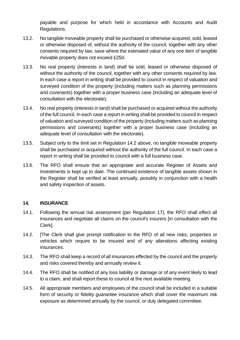payable and purpose for which held in accordance with Accounts and Audit Regulations.

- 13.2. No tangible moveable property shall be purchased or otherwise acquired, sold, leased or otherwise disposed of, without the authority of the council, together with any other consents required by law, save where the estimated value of any one item of tangible movable property does not exceed £250.
- 13.3. No real property (interests in land) shall be sold, leased or otherwise disposed of without the authority of the council, together with any other consents required by law. In each case a report in writing shall be provided to council in respect of valuation and surveyed condition of the property (including matters such as planning permissions and covenants) together with a proper business case (including an adequate level of consultation with the electorate).
- 13.4. No real property (interests in land) shall be purchased or acquired without the authority of the full council. In each case a report in writing shall be provided to council in respect of valuation and surveyed condition of the property (including matters such as planning permissions and covenants) together with a proper business case (including an adequate level of consultation with the electorate).
- 13.5. Subject only to the limit set in Regulation 14.2 above, no tangible moveable property shall be purchased or acquired without the authority of the full council. In each case a report in writing shall be provided to council with a full business case.
- 13.6. The RFO shall ensure that an appropriate and accurate Register of Assets and Investments is kept up to date. The continued existence of tangible assets shown in the Register shall be verified at least annually, possibly in conjunction with a health and safety inspection of assets.

#### <span id="page-16-0"></span>**14. INSURANCE**

- 14.1. Following the annual risk assessment (per Regulation 17), the RFO shall effect all insurances and negotiate all claims on the council's insurers [in consultation with the Clerk].
- 14.2. [The Clerk shall give prompt notification to the RFO of all new risks, properties or vehicles which require to be insured and of any alterations affecting existing insurances.
- 14.3. The RFO shall keep a record of all insurances effected by the council and the property and risks covered thereby and annually review it.
- 14.4. The RFO shall be notified of any loss liability or damage or of any event likely to lead to a claim, and shall report these to council at the next available meeting.
- 14.5. All appropriate members and employees of the council shall be included in a suitable form of security or fidelity guarantee insurance which shall cover the maximum risk exposure as determined annually by the council, or duly delegated committee.